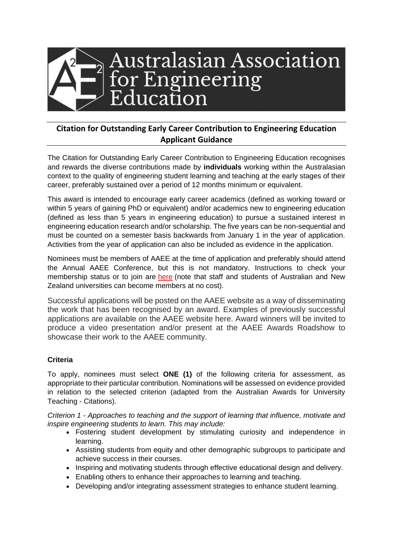

# **Citation for Outstanding Early Career Contribution to Engineering Education Applicant Guidance**

The Citation for Outstanding Early Career Contribution to Engineering Education recognises and rewards the diverse contributions made by **individuals** working within the Australasian context to the quality of engineering student learning and teaching at the early stages of their career, preferably sustained over a period of 12 months minimum or equivalent.

This award is intended to encourage early career academics (defined as working toward or within 5 years of gaining PhD or equivalent) and/or academics new to engineering education (defined as less than 5 years in engineering education) to pursue a sustained interest in engineering education research and/or scholarship. The five years can be non-sequential and must be counted on a semester basis backwards from January 1 in the year of application. Activities from the year of application can also be included as evidence in the application.

Nominees must be members of AAEE at the time of application and preferably should attend the Annual AAEE Conference, but this is not mandatory. Instructions to check your membership status or to join are [here](https://aaee.net.au/join/) (note that staff and students of Australian and New Zealand universities can become members at no cost).

Successful applications will be posted on the AAEE website as a way of disseminating the work that has been recognised by an award. Examples of previously successful applications are available on the [AAEE website here.](https://aaee.net.au/5976-2/) Award winners will be invited to produce a video presentation and/or present at the AAEE Awards Roadshow to showcase their work to the AAEE community.

## **Criteria**

To apply, nominees must select **ONE (1)** of the following criteria for assessment, as appropriate to their particular contribution. Nominations will be assessed on evidence provided in relation to the selected criterion (adapted from the Australian Awards for University Teaching - Citations).

*Criterion 1 - Approaches to teaching and the support of learning that influence, motivate and inspire engineering students to learn. This may include:*

- Fostering student development by stimulating curiosity and independence in learning.
- Assisting students from equity and other demographic subgroups to participate and achieve success in their courses.
- Inspiring and motivating students through effective educational design and delivery.
- Enabling others to enhance their approaches to learning and teaching.
- Developing and/or integrating assessment strategies to enhance student learning.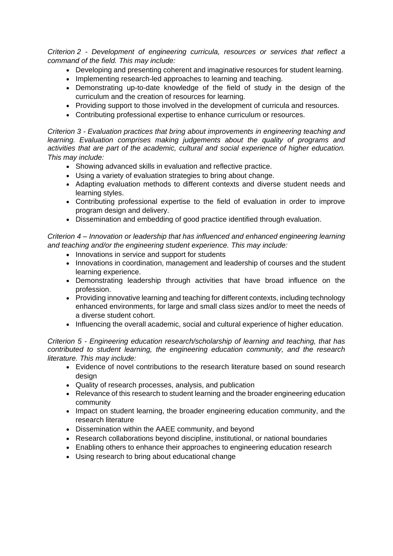*Criterion 2 - Development of engineering curricula, resources or services that reflect a command of the field. This may include:*

- Developing and presenting coherent and imaginative resources for student learning.
- Implementing research-led approaches to learning and teaching.
- Demonstrating up-to-date knowledge of the field of study in the design of the curriculum and the creation of resources for learning.
- Providing support to those involved in the development of curricula and resources.
- Contributing professional expertise to enhance curriculum or resources.

*Criterion 3 - Evaluation practices that bring about improvements in engineering teaching and learning. Evaluation comprises making judgements about the quality of programs and activities that are part of the academic, cultural and social experience of higher education. This may include:*

- Showing advanced skills in evaluation and reflective practice.
- Using a variety of evaluation strategies to bring about change.
- Adapting evaluation methods to different contexts and diverse student needs and learning styles.
- Contributing professional expertise to the field of evaluation in order to improve program design and delivery.
- Dissemination and embedding of good practice identified through evaluation.

*Criterion 4 – Innovation or leadership that has influenced and enhanced engineering learning and teaching and/or the engineering student experience. This may include:*

- Innovations in service and support for students
- Innovations in coordination, management and leadership of courses and the student learning experience.
- Demonstrating leadership through activities that have broad influence on the profession.
- Providing innovative learning and teaching for different contexts, including technology enhanced environments, for large and small class sizes and/or to meet the needs of a diverse student cohort.
- Influencing the overall academic, social and cultural experience of higher education.

*Criterion 5 - Engineering education research/scholarship of learning and teaching, that has contributed to student learning, the engineering education community, and the research literature. This may include:*

- Evidence of novel contributions to the research literature based on sound research design
- Quality of research processes, analysis, and publication
- Relevance of this research to student learning and the broader engineering education community
- Impact on student learning, the broader engineering education community, and the research literature
- Dissemination within the AAEE community, and beyond
- Research collaborations beyond discipline, institutional, or national boundaries
- Enabling others to enhance their approaches to engineering education research
- Using research to bring about educational change